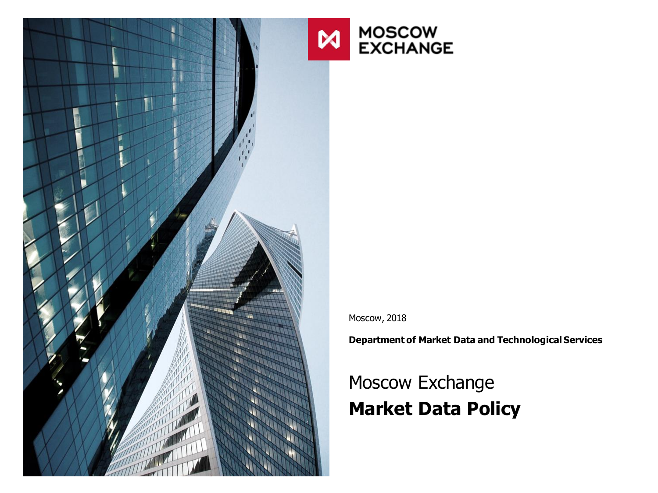

**MOSCOW EXCHANGE** 

Moscow, 2018

**Department of Market Data and Technological Services**

#### Moscow Exchange **Market Data Policy**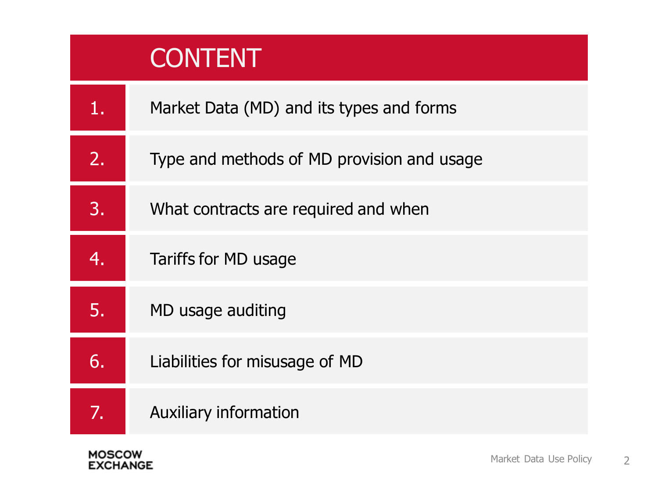|    | <b>CONTENT</b>                             |
|----|--------------------------------------------|
| 1. | Market Data (MD) and its types and forms   |
| 2. | Type and methods of MD provision and usage |
| 3. | What contracts are required and when       |
| 4. | Tariffs for MD usage                       |
| 5. | MD usage auditing                          |
| 6. | Liabilities for misusage of MD             |
| 7. | <b>Auxiliary information</b>               |

**MOSCOW<br>EXCHANGE**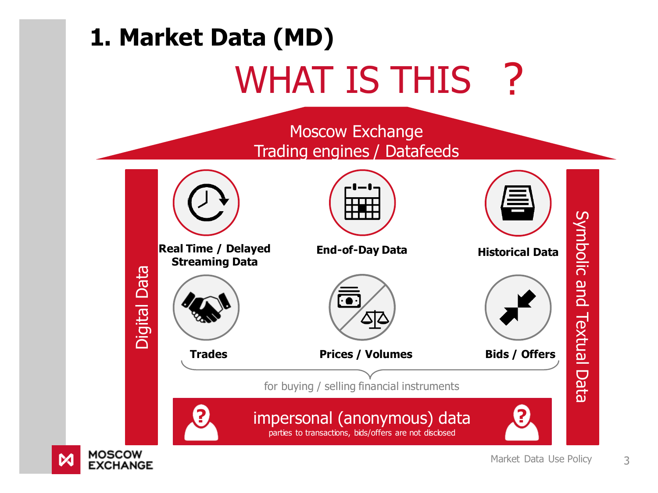

**EXCHANGE**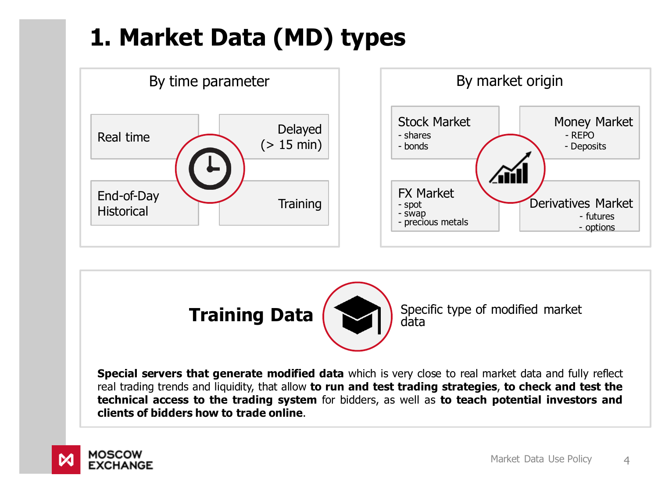## **1. Market Data (MD) types**





**Special servers that generate modified data** which is very close to real market data and fully reflect real trading trends and liquidity, that allow **to run and test trading strategies**, **to check and test the technical access to the trading system** for bidders, as well as **to teach potential investors and clients of bidders how to trade online**.

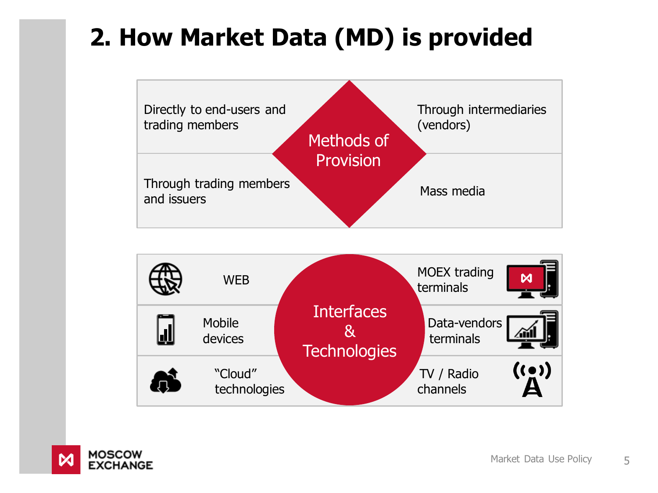## **2. How Market Data (MD) is provided**





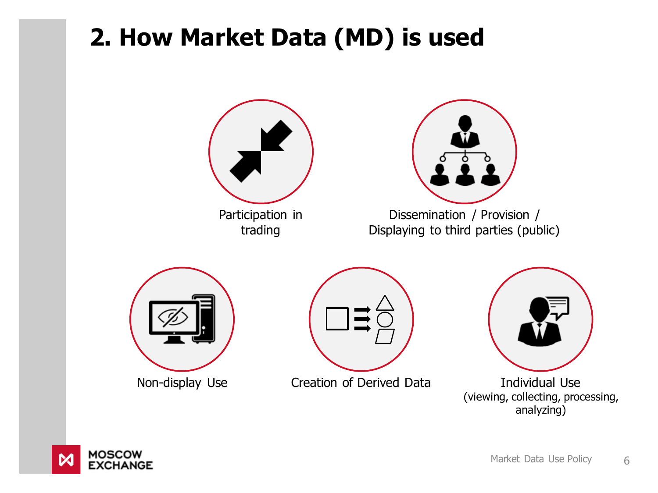## **2. How Market Data (MD) is used**



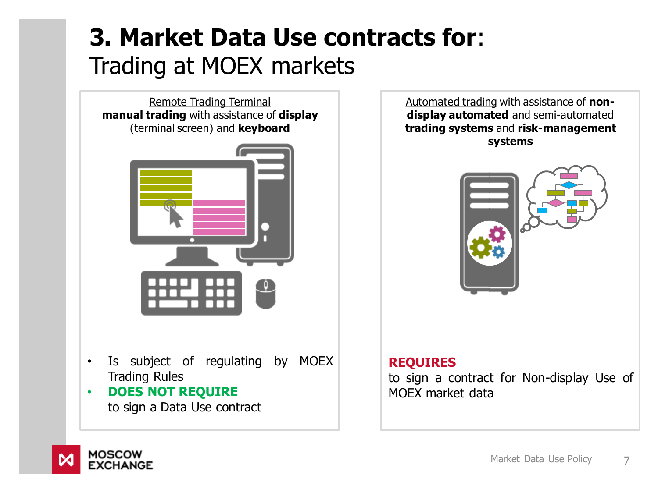## **3. Market Data Use contracts for**: Trading at MOEX markets



Automated trading with assistance of **nondisplay automated** and semi-automated **trading systems** and **risk-management systems**

#### **REQUIRES**

to sign a contract for Non-display Use of MOEX market data

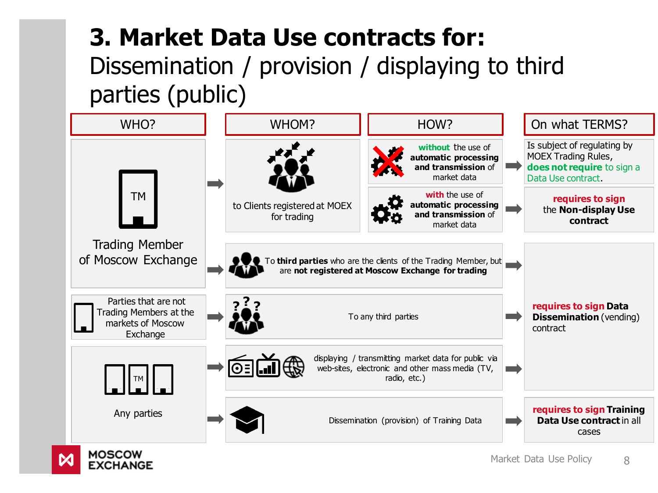#### **3. Market Data Use contracts for:**  Dissemination / provision / displaying to third parties (public)



**MOSCOW EXCHANGE**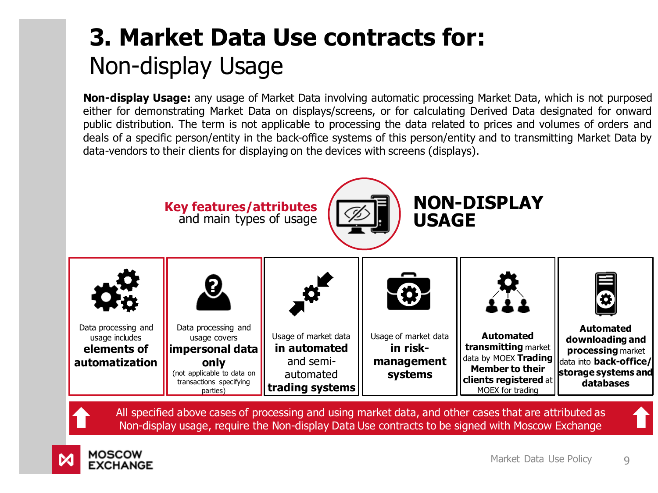## **3. Market Data Use contracts for:**  Non-display Usage

**Non-display Usage:** any usage of Market Data involving automatic processing Market Data, which is not purposed either for demonstrating Market Data on displays/screens, or for calculating Derived Data designated for onward public distribution. The term is not applicable to processing the data related to prices and volumes of orders and deals of a specific person/entity in the back-office systems of this person/entity and to transmitting Market Data by data-vendors to their clients for displaying on the devices with screens (displays).



All specified above cases of processing and using market data, and other cases that are attributed as Non-display usage, require the Non-display Data Use contracts to be signed with Moscow Exchange

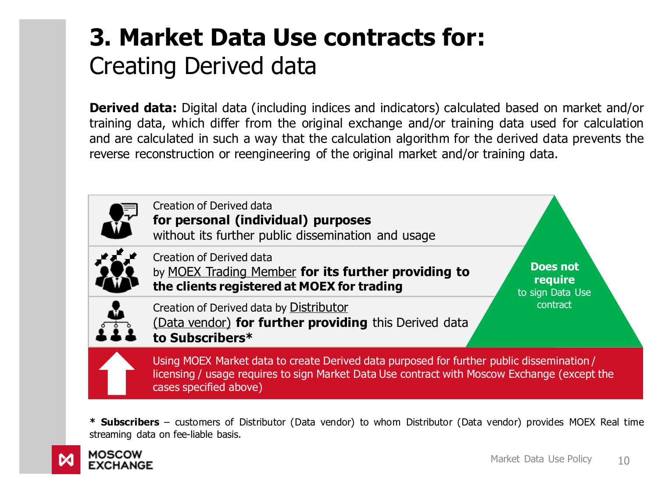#### **3. Market Data Use contracts for:**  Creating Derived data

**Derived data:** Digital data (including indices and indicators) calculated based on market and/or training data, which differ from the original exchange and/or training data used for calculation and are calculated in such a way that the calculation algorithm for the derived data prevents the reverse reconstruction or reengineering of the original market and/or training data.



**\* Subscribers** – customers of Distributor (Data vendor) to whom Distributor (Data vendor) provides MOEX Real time streaming data on fee-liable basis.

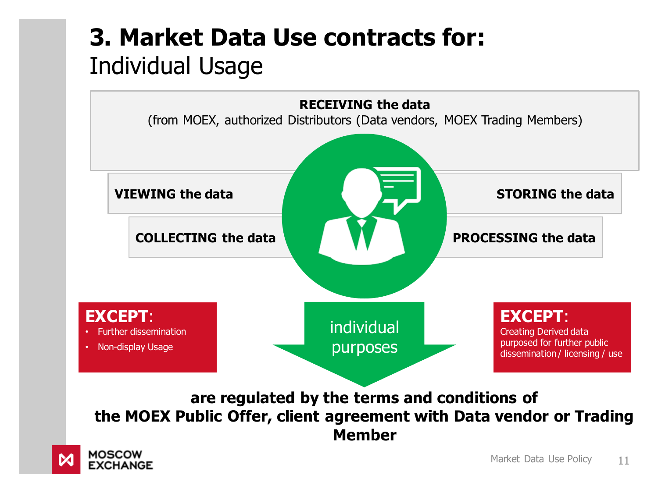#### **3. Market Data Use contracts for:**  Individual Usage



**are regulated by the terms and conditions of the MOEX Public Offer, client agreement with Data vendor or Trading Member**

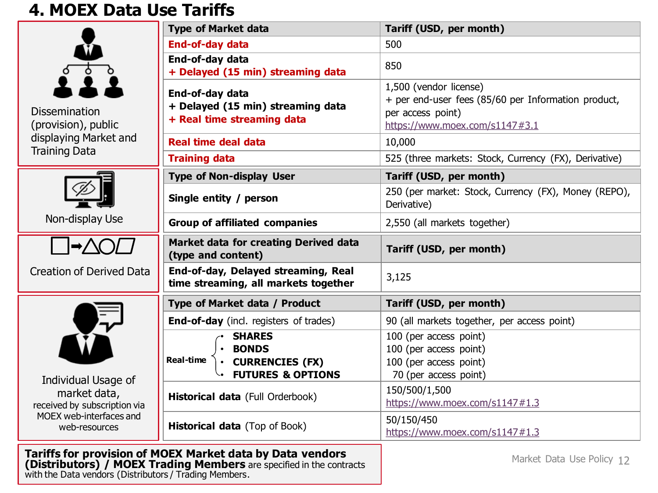#### **4. MOEX Data Use Tariffs**



(provision), public displaying Market and Training Data





**Creation of Derived Data** 



Individual Usage of market data, received by subscription via MOEX web-interfaces and web-resources

|                                           | <b>Type of Market data</b>                                                                             | Tariff (USD, per month)                                                                                                              |
|-------------------------------------------|--------------------------------------------------------------------------------------------------------|--------------------------------------------------------------------------------------------------------------------------------------|
|                                           | End-of-day data                                                                                        | 500                                                                                                                                  |
|                                           | End-of-day data<br>+ Delayed (15 min) streaming data                                                   | 850                                                                                                                                  |
| semination<br>ovision), public            | End-of-day data<br>+ Delayed (15 min) streaming data<br>+ Real time streaming data                     | 1,500 (vendor license)<br>+ per end-user fees (85/60 per Information product,<br>per access point)<br>https://www.moex.com/s1147#3.1 |
| playing Market and<br>ining Data          | <b>Real time deal data</b>                                                                             | 10,000                                                                                                                               |
|                                           | <b>Training data</b>                                                                                   | 525 (three markets: Stock, Currency (FX), Derivative)                                                                                |
|                                           | <b>Type of Non-display User</b>                                                                        | Tariff (USD, per month)                                                                                                              |
|                                           | Single entity / person                                                                                 | 250 (per market: Stock, Currency (FX), Money (REPO),<br>Derivative)                                                                  |
| Non-display Use                           | <b>Group of affiliated companies</b>                                                                   | 2,550 (all markets together)                                                                                                         |
|                                           | <b>Market data for creating Derived data</b><br>(type and content)                                     | Tariff (USD, per month)                                                                                                              |
| ation of Derived Data                     | End-of-day, Delayed streaming, Real<br>time streaming, all markets together                            | 3,125                                                                                                                                |
|                                           | Type of Market data / Product                                                                          | Tariff (USD, per month)                                                                                                              |
|                                           | <b>End-of-day</b> (incl. registers of trades)                                                          | 90 (all markets together, per access point)                                                                                          |
| ndividual Usage of                        | <b>SHARES</b><br><b>BONDS</b><br>· CURRENCIES (FX)<br><b>Real-time</b><br><b>FUTURES &amp; OPTIONS</b> | 100 (per access point)<br>100 (per access point)<br>100 (per access point)<br>70 (per access point)                                  |
| market data,<br>eived by subscription via | Historical data (Full Orderbook)                                                                       | 150/500/1,500<br>https://www.moex.com/s1147#1.3                                                                                      |
| OEX web-interfaces and<br>web-resources   | <b>Historical data</b> (Top of Book)                                                                   | 50/150/450<br>https://www.moex.com/s1147#1.3                                                                                         |

**Tariffs for provision of MOEX Market data by Data vendors (Distributors) / MOEX Trading Members** are specified in the contracts with the Data vendors (Distributors / Trading Members.

Market Data Use Policy 12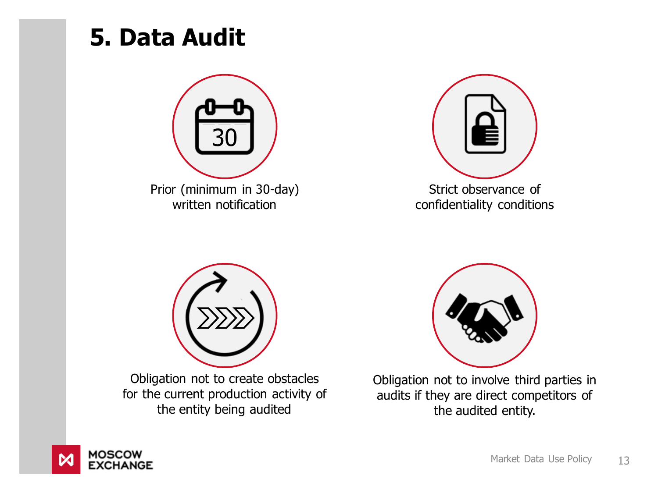#### **5. Data Audit**





confidentiality conditions



Obligation not to create obstacles for the current production activity of the entity being audited



Obligation not to involve third parties in audits if they are direct competitors of the audited entity.

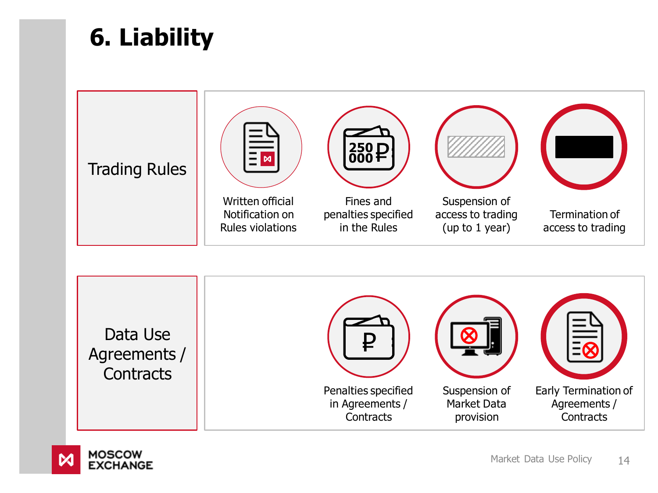#### **6. Liability**





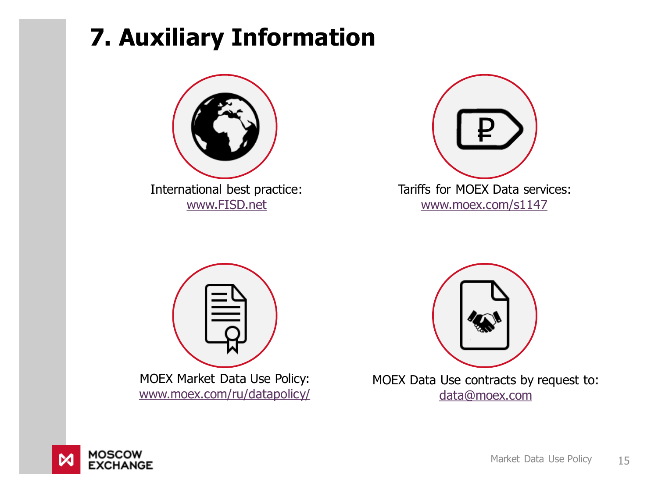## **7. Auxiliary Information**







MOEX Market Data Use Policy: [www.moex.com/ru/datapolicy/](http://www.moex.com/ru/datapolicy/)



MOEX Data Use contracts by request to: [data@moex.com](mailto: data@moex.com)